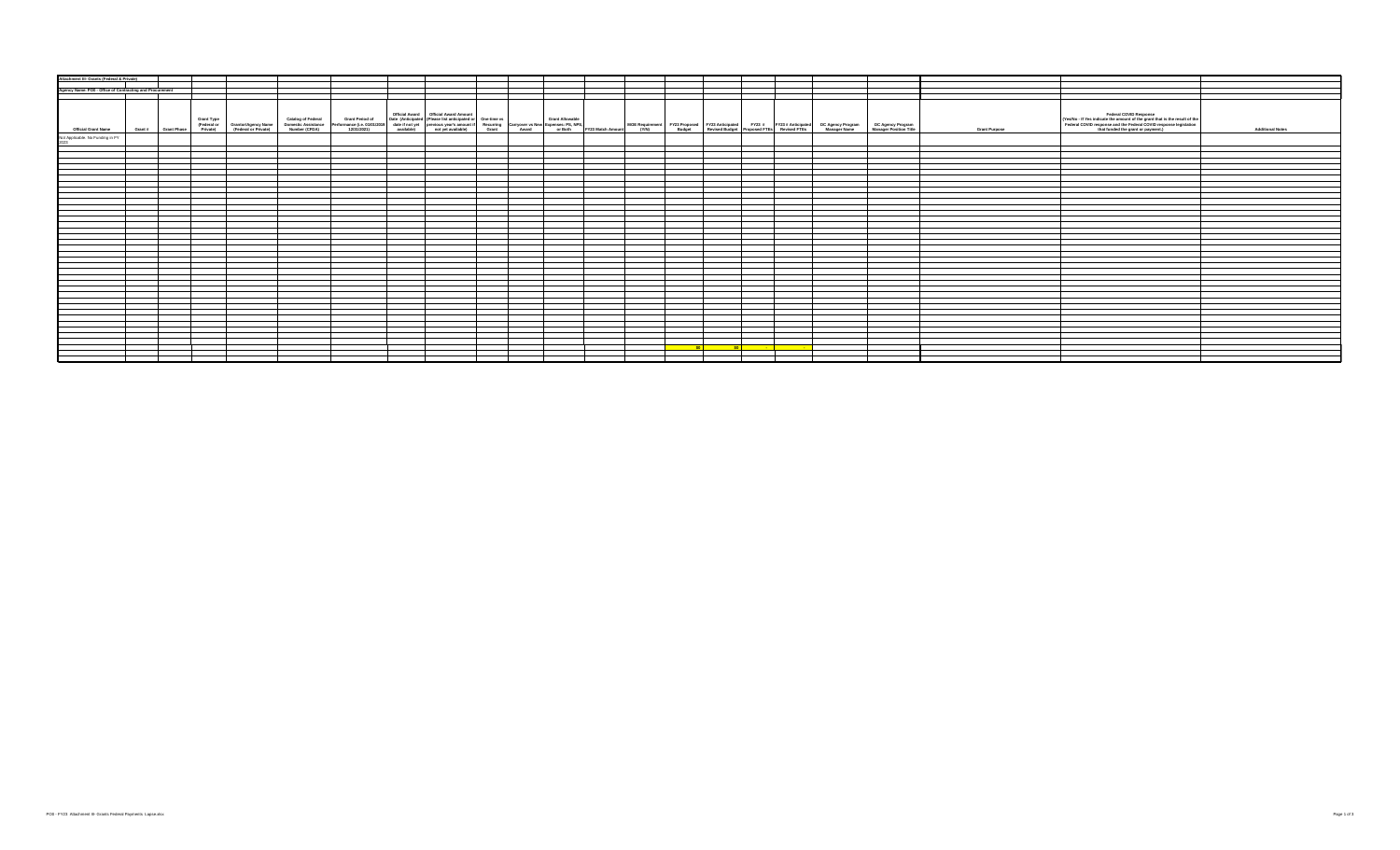| Attachment III- Grants (Federal & Private)               |  |  |  |                                                                                                                                                                                                                                  |  |  |      |               |  |  |                      |                                                                                                                                                                                                                  |                         |
|----------------------------------------------------------|--|--|--|----------------------------------------------------------------------------------------------------------------------------------------------------------------------------------------------------------------------------------|--|--|------|---------------|--|--|----------------------|------------------------------------------------------------------------------------------------------------------------------------------------------------------------------------------------------------------|-------------------------|
|                                                          |  |  |  |                                                                                                                                                                                                                                  |  |  |      |               |  |  |                      |                                                                                                                                                                                                                  |                         |
| Agency Name: PO0 - Office of Contracting and Procurement |  |  |  |                                                                                                                                                                                                                                  |  |  |      |               |  |  |                      |                                                                                                                                                                                                                  |                         |
|                                                          |  |  |  |                                                                                                                                                                                                                                  |  |  |      |               |  |  |                      |                                                                                                                                                                                                                  |                         |
|                                                          |  |  |  |                                                                                                                                                                                                                                  |  |  |      |               |  |  |                      |                                                                                                                                                                                                                  |                         |
| <b>Official Grant Name</b>                               |  |  |  | .<br>Grant Type Granting Cambiography Cambiography (Cambiography Cambiography Pedia Manufact Description of Data (Anticipated Pedia Manufact Destinate Constructionated Constructionated Constructionate Constructionate Cambiog |  |  |      |               |  |  | <b>Grant Purpose</b> | Federal COVID Response<br>(Yes/No - If Yes indicate the amount of the grant that is the result of the<br>Federal COVID response and the Federal COVID response legislation<br>that funded the grant or payment.) | <b>Additional Notes</b> |
| Not Applicable. No Funding in FY<br>cons                 |  |  |  |                                                                                                                                                                                                                                  |  |  |      |               |  |  |                      |                                                                                                                                                                                                                  |                         |
|                                                          |  |  |  |                                                                                                                                                                                                                                  |  |  |      |               |  |  |                      |                                                                                                                                                                                                                  |                         |
|                                                          |  |  |  |                                                                                                                                                                                                                                  |  |  |      |               |  |  |                      |                                                                                                                                                                                                                  |                         |
|                                                          |  |  |  |                                                                                                                                                                                                                                  |  |  |      |               |  |  |                      |                                                                                                                                                                                                                  |                         |
|                                                          |  |  |  |                                                                                                                                                                                                                                  |  |  |      |               |  |  |                      |                                                                                                                                                                                                                  |                         |
|                                                          |  |  |  |                                                                                                                                                                                                                                  |  |  |      |               |  |  |                      |                                                                                                                                                                                                                  |                         |
|                                                          |  |  |  |                                                                                                                                                                                                                                  |  |  |      |               |  |  |                      |                                                                                                                                                                                                                  |                         |
|                                                          |  |  |  |                                                                                                                                                                                                                                  |  |  |      |               |  |  |                      |                                                                                                                                                                                                                  |                         |
|                                                          |  |  |  |                                                                                                                                                                                                                                  |  |  |      |               |  |  |                      |                                                                                                                                                                                                                  |                         |
|                                                          |  |  |  |                                                                                                                                                                                                                                  |  |  |      |               |  |  |                      |                                                                                                                                                                                                                  |                         |
|                                                          |  |  |  |                                                                                                                                                                                                                                  |  |  |      |               |  |  |                      |                                                                                                                                                                                                                  |                         |
|                                                          |  |  |  |                                                                                                                                                                                                                                  |  |  |      |               |  |  |                      |                                                                                                                                                                                                                  |                         |
|                                                          |  |  |  |                                                                                                                                                                                                                                  |  |  |      |               |  |  |                      |                                                                                                                                                                                                                  |                         |
|                                                          |  |  |  |                                                                                                                                                                                                                                  |  |  |      |               |  |  |                      |                                                                                                                                                                                                                  |                         |
|                                                          |  |  |  |                                                                                                                                                                                                                                  |  |  |      |               |  |  |                      |                                                                                                                                                                                                                  |                         |
|                                                          |  |  |  |                                                                                                                                                                                                                                  |  |  |      |               |  |  |                      |                                                                                                                                                                                                                  |                         |
|                                                          |  |  |  |                                                                                                                                                                                                                                  |  |  |      |               |  |  |                      |                                                                                                                                                                                                                  |                         |
|                                                          |  |  |  |                                                                                                                                                                                                                                  |  |  |      |               |  |  |                      |                                                                                                                                                                                                                  |                         |
|                                                          |  |  |  |                                                                                                                                                                                                                                  |  |  |      |               |  |  |                      |                                                                                                                                                                                                                  |                         |
|                                                          |  |  |  |                                                                                                                                                                                                                                  |  |  |      |               |  |  |                      |                                                                                                                                                                                                                  |                         |
|                                                          |  |  |  |                                                                                                                                                                                                                                  |  |  |      |               |  |  |                      |                                                                                                                                                                                                                  |                         |
|                                                          |  |  |  |                                                                                                                                                                                                                                  |  |  |      |               |  |  |                      |                                                                                                                                                                                                                  |                         |
|                                                          |  |  |  |                                                                                                                                                                                                                                  |  |  |      |               |  |  |                      |                                                                                                                                                                                                                  |                         |
|                                                          |  |  |  |                                                                                                                                                                                                                                  |  |  |      |               |  |  |                      |                                                                                                                                                                                                                  |                         |
|                                                          |  |  |  |                                                                                                                                                                                                                                  |  |  |      |               |  |  |                      |                                                                                                                                                                                                                  |                         |
|                                                          |  |  |  |                                                                                                                                                                                                                                  |  |  |      |               |  |  |                      |                                                                                                                                                                                                                  |                         |
|                                                          |  |  |  |                                                                                                                                                                                                                                  |  |  |      |               |  |  |                      |                                                                                                                                                                                                                  |                         |
|                                                          |  |  |  |                                                                                                                                                                                                                                  |  |  |      |               |  |  |                      |                                                                                                                                                                                                                  |                         |
|                                                          |  |  |  |                                                                                                                                                                                                                                  |  |  |      |               |  |  |                      |                                                                                                                                                                                                                  |                         |
|                                                          |  |  |  |                                                                                                                                                                                                                                  |  |  |      |               |  |  |                      |                                                                                                                                                                                                                  |                         |
|                                                          |  |  |  |                                                                                                                                                                                                                                  |  |  |      |               |  |  |                      |                                                                                                                                                                                                                  |                         |
|                                                          |  |  |  |                                                                                                                                                                                                                                  |  |  |      |               |  |  |                      |                                                                                                                                                                                                                  |                         |
|                                                          |  |  |  |                                                                                                                                                                                                                                  |  |  |      |               |  |  |                      |                                                                                                                                                                                                                  |                         |
|                                                          |  |  |  |                                                                                                                                                                                                                                  |  |  |      |               |  |  |                      |                                                                                                                                                                                                                  |                         |
|                                                          |  |  |  |                                                                                                                                                                                                                                  |  |  |      |               |  |  |                      |                                                                                                                                                                                                                  |                         |
|                                                          |  |  |  |                                                                                                                                                                                                                                  |  |  |      |               |  |  |                      |                                                                                                                                                                                                                  |                         |
|                                                          |  |  |  |                                                                                                                                                                                                                                  |  |  |      |               |  |  |                      |                                                                                                                                                                                                                  |                         |
|                                                          |  |  |  |                                                                                                                                                                                                                                  |  |  |      |               |  |  |                      |                                                                                                                                                                                                                  |                         |
|                                                          |  |  |  |                                                                                                                                                                                                                                  |  |  |      |               |  |  |                      |                                                                                                                                                                                                                  |                         |
|                                                          |  |  |  |                                                                                                                                                                                                                                  |  |  |      |               |  |  |                      |                                                                                                                                                                                                                  |                         |
|                                                          |  |  |  |                                                                                                                                                                                                                                  |  |  | so l | <u>solida</u> |  |  |                      |                                                                                                                                                                                                                  |                         |
|                                                          |  |  |  |                                                                                                                                                                                                                                  |  |  |      |               |  |  |                      |                                                                                                                                                                                                                  |                         |
|                                                          |  |  |  |                                                                                                                                                                                                                                  |  |  |      |               |  |  |                      |                                                                                                                                                                                                                  |                         |
|                                                          |  |  |  |                                                                                                                                                                                                                                  |  |  |      |               |  |  |                      |                                                                                                                                                                                                                  |                         |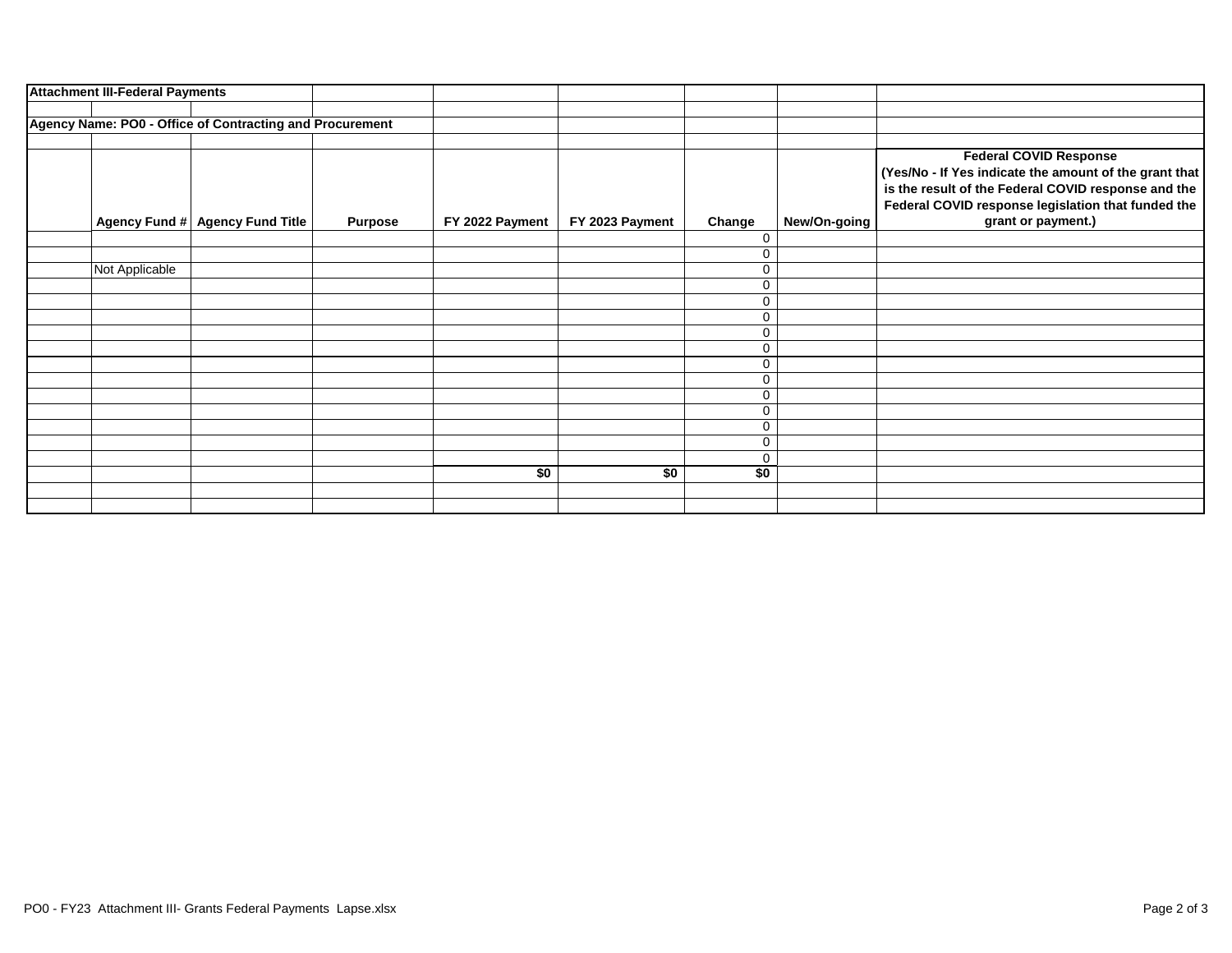| <b>Attachment III-Federal Payments</b> |                                                          |                |                 |                 |                  |              |                                                                                                                                                                                                                            |
|----------------------------------------|----------------------------------------------------------|----------------|-----------------|-----------------|------------------|--------------|----------------------------------------------------------------------------------------------------------------------------------------------------------------------------------------------------------------------------|
|                                        |                                                          |                |                 |                 |                  |              |                                                                                                                                                                                                                            |
|                                        | Agency Name: PO0 - Office of Contracting and Procurement |                |                 |                 |                  |              |                                                                                                                                                                                                                            |
|                                        |                                                          |                |                 |                 |                  |              |                                                                                                                                                                                                                            |
|                                        | Agency Fund # Agency Fund Title                          | <b>Purpose</b> | FY 2022 Payment | FY 2023 Payment | Change           | New/On-going | <b>Federal COVID Response</b><br>(Yes/No - If Yes indicate the amount of the grant that<br>is the result of the Federal COVID response and the<br>Federal COVID response legislation that funded the<br>grant or payment.) |
|                                        |                                                          |                |                 |                 | 0                |              |                                                                                                                                                                                                                            |
|                                        |                                                          |                |                 |                 | 0                |              |                                                                                                                                                                                                                            |
| Not Applicable                         |                                                          |                |                 |                 | $\mathbf 0$      |              |                                                                                                                                                                                                                            |
|                                        |                                                          |                |                 |                 | $\mathbf 0$      |              |                                                                                                                                                                                                                            |
|                                        |                                                          |                |                 |                 | $\mathbf 0$      |              |                                                                                                                                                                                                                            |
|                                        |                                                          |                |                 |                 | $\mathbf 0$      |              |                                                                                                                                                                                                                            |
|                                        |                                                          |                |                 |                 | $\mathbf 0$      |              |                                                                                                                                                                                                                            |
|                                        |                                                          |                |                 |                 | $\mathbf 0$      |              |                                                                                                                                                                                                                            |
|                                        |                                                          |                |                 |                 | 0<br>$\mathbf 0$ |              |                                                                                                                                                                                                                            |
|                                        |                                                          |                |                 |                 | 0                |              |                                                                                                                                                                                                                            |
|                                        |                                                          |                |                 |                 | 0                |              |                                                                                                                                                                                                                            |
|                                        |                                                          |                |                 |                 | $\mathbf 0$      |              |                                                                                                                                                                                                                            |
|                                        |                                                          |                |                 |                 | 0                |              |                                                                                                                                                                                                                            |
|                                        |                                                          |                |                 |                 | $\mathbf 0$      |              |                                                                                                                                                                                                                            |
|                                        |                                                          |                | \$0             | \$0             | \$0              |              |                                                                                                                                                                                                                            |
|                                        |                                                          |                |                 |                 |                  |              |                                                                                                                                                                                                                            |
|                                        |                                                          |                |                 |                 |                  |              |                                                                                                                                                                                                                            |